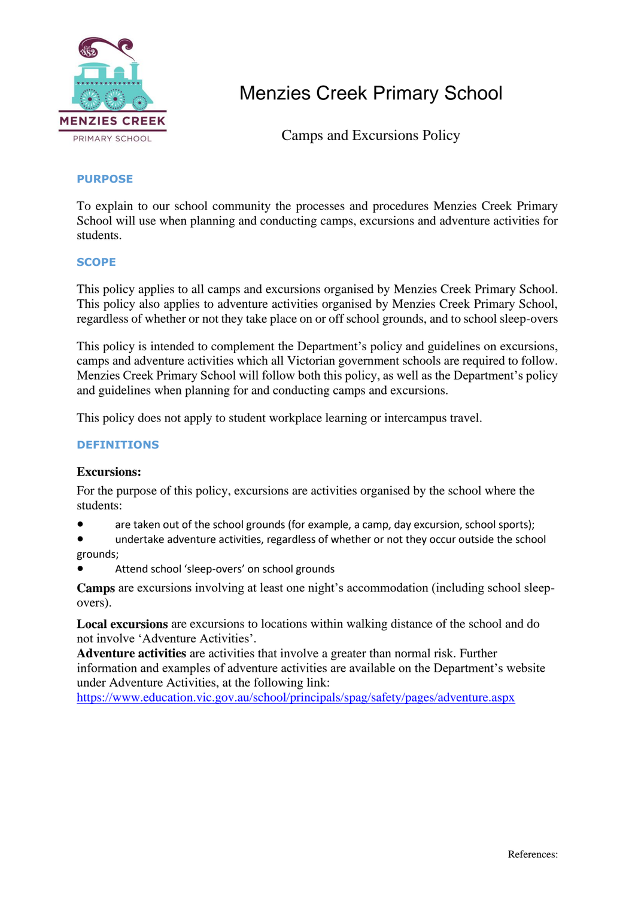

Camps and Excursions Policy

#### **PURPOSE**

To explain to our school community the processes and procedures Menzies Creek Primary School will use when planning and conducting camps, excursions and adventure activities for students.

#### **SCOPE**

This policy applies to all camps and excursions organised by Menzies Creek Primary School. This policy also applies to adventure activities organised by Menzies Creek Primary School, regardless of whether or not they take place on or off school grounds, and to school sleep-overs

This policy is intended to complement the Department's policy and guidelines on excursions, camps and adventure activities which all Victorian government schools are required to follow. Menzies Creek Primary School will follow both this policy, as well as the Department's policy and guidelines when planning for and conducting camps and excursions.

This policy does not apply to student workplace learning or intercampus travel.

### **DEFINITIONS**

### **Excursions:**

For the purpose of this policy, excursions are activities organised by the school where the students:

● are taken out of the school grounds (for example, a camp, day excursion, school sports);

undertake adventure activities, regardless of whether or not they occur outside the school grounds;

Attend school 'sleep-overs' on school grounds

**Camps** are excursions involving at least one night's accommodation (including school sleepovers).

**Local excursions** are excursions to locations within walking distance of the school and do not involve 'Adventure Activities'.

**Adventure activities** are activities that involve a greater than normal risk. Further information and examples of adventure activities are available on the Department's website under Adventure Activities, at the following link:

<https://www.education.vic.gov.au/school/principals/spag/safety/pages/adventure.aspx>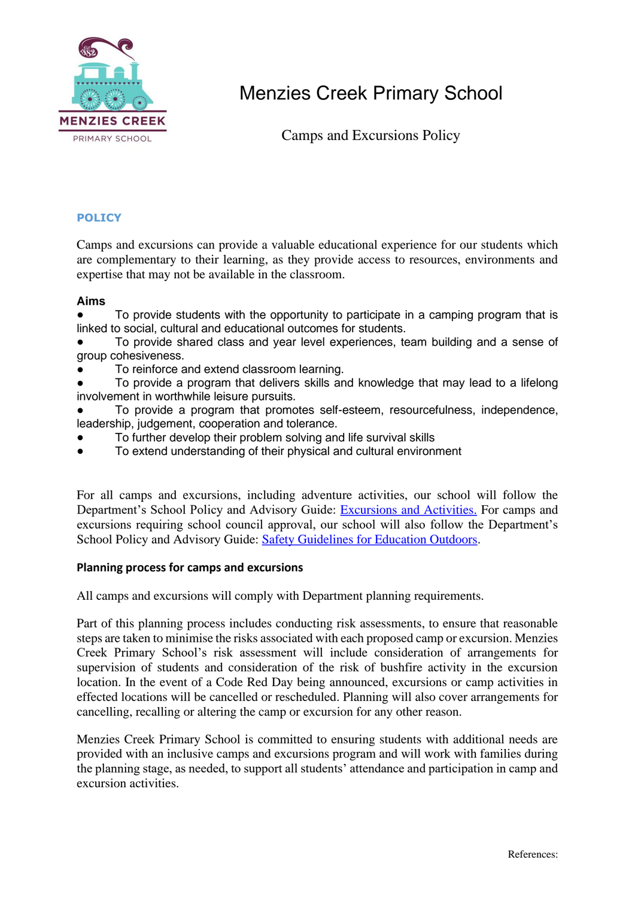

Camps and Excursions Policy

#### **POLICY**

Camps and excursions can provide a valuable educational experience for our students which are complementary to their learning, as they provide access to resources, environments and expertise that may not be available in the classroom.

#### **Aims**

To provide students with the opportunity to participate in a camping program that is linked to social, cultural and educational outcomes for students.

To provide shared class and year level experiences, team building and a sense of group cohesiveness.

To reinforce and extend classroom learning.

To provide a program that delivers skills and knowledge that may lead to a lifelong involvement in worthwhile leisure pursuits.

To provide a program that promotes self-esteem, resourcefulness, independence, leadership, judgement, cooperation and tolerance.

- To further develop their problem solving and life survival skills
- To extend understanding of their physical and cultural environment

For all camps and excursions, including adventure activities, our school will follow the Department's School Policy and Advisory Guide: [Excursions and Activities.](http://www.education.vic.gov.au/school/principals/spag/safety/pages/excursions.aspx) For camps and excursions requiring school council approval, our school will also follow the Department's School Policy and Advisory Guide: [Safety Guidelines for Education Outdoors.](https://www.education.vic.gov.au/school/teachers/studentmanagement/excursions/Pages/outdoorguidelines.aspx)

#### **Planning process for camps and excursions**

All camps and excursions will comply with Department planning requirements.

Part of this planning process includes conducting risk assessments, to ensure that reasonable steps are taken to minimise the risks associated with each proposed camp or excursion. Menzies Creek Primary School's risk assessment will include consideration of arrangements for supervision of students and consideration of the risk of bushfire activity in the excursion location. In the event of a Code Red Day being announced, excursions or camp activities in effected locations will be cancelled or rescheduled. Planning will also cover arrangements for cancelling, recalling or altering the camp or excursion for any other reason.

Menzies Creek Primary School is committed to ensuring students with additional needs are provided with an inclusive camps and excursions program and will work with families during the planning stage, as needed, to support all students' attendance and participation in camp and excursion activities.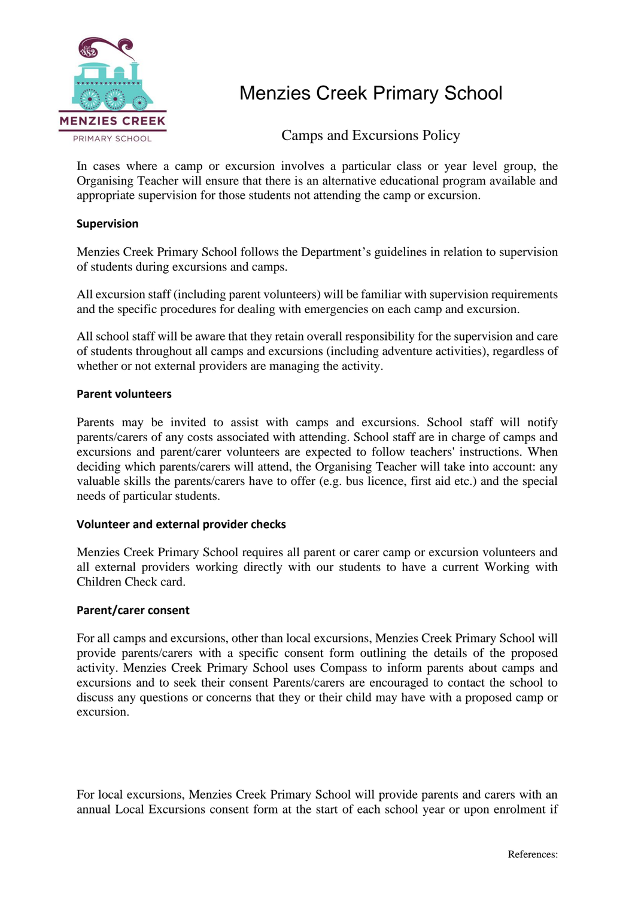

Camps and Excursions Policy

In cases where a camp or excursion involves a particular class or year level group, the Organising Teacher will ensure that there is an alternative educational program available and appropriate supervision for those students not attending the camp or excursion.

#### **Supervision**

Menzies Creek Primary School follows the Department's guidelines in relation to supervision of students during excursions and camps.

All excursion staff (including parent volunteers) will be familiar with supervision requirements and the specific procedures for dealing with emergencies on each camp and excursion.

All school staff will be aware that they retain overall responsibility for the supervision and care of students throughout all camps and excursions (including adventure activities), regardless of whether or not external providers are managing the activity.

#### **Parent volunteers**

Parents may be invited to assist with camps and excursions. School staff will notify parents/carers of any costs associated with attending. School staff are in charge of camps and excursions and parent/carer volunteers are expected to follow teachers' instructions. When deciding which parents/carers will attend, the Organising Teacher will take into account: any valuable skills the parents/carers have to offer (e.g. bus licence, first aid etc.) and the special needs of particular students.

#### **Volunteer and external provider checks**

Menzies Creek Primary School requires all parent or carer camp or excursion volunteers and all external providers working directly with our students to have a current Working with Children Check card.

#### **Parent/carer consent**

For all camps and excursions, other than local excursions, Menzies Creek Primary School will provide parents/carers with a specific consent form outlining the details of the proposed activity. Menzies Creek Primary School uses Compass to inform parents about camps and excursions and to seek their consent Parents/carers are encouraged to contact the school to discuss any questions or concerns that they or their child may have with a proposed camp or excursion.

For local excursions, Menzies Creek Primary School will provide parents and carers with an annual Local Excursions consent form at the start of each school year or upon enrolment if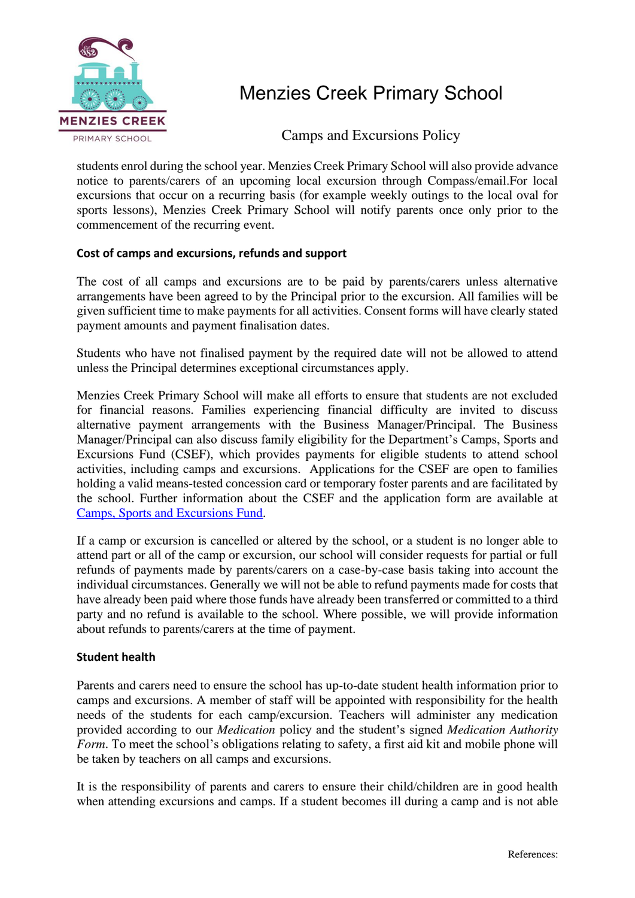

Camps and Excursions Policy

students enrol during the school year. Menzies Creek Primary School will also provide advance notice to parents/carers of an upcoming local excursion through Compass/email.For local excursions that occur on a recurring basis (for example weekly outings to the local oval for sports lessons), Menzies Creek Primary School will notify parents once only prior to the commencement of the recurring event.

#### **Cost of camps and excursions, refunds and support**

The cost of all camps and excursions are to be paid by parents/carers unless alternative arrangements have been agreed to by the Principal prior to the excursion. All families will be given sufficient time to make payments for all activities. Consent forms will have clearly stated payment amounts and payment finalisation dates.

Students who have not finalised payment by the required date will not be allowed to attend unless the Principal determines exceptional circumstances apply.

Menzies Creek Primary School will make all efforts to ensure that students are not excluded for financial reasons. Families experiencing financial difficulty are invited to discuss alternative payment arrangements with the Business Manager/Principal. The Business Manager/Principal can also discuss family eligibility for the Department's Camps, Sports and Excursions Fund (CSEF), which provides payments for eligible students to attend school activities, including camps and excursions. Applications for the CSEF are open to families holding a valid means-tested concession card or temporary foster parents and are facilitated by the school. Further information about the CSEF and the application form are available at [Camps, Sports and Excursions Fund.](http://www.education.vic.gov.au/about/programs/Pages/csef.aspx)

If a camp or excursion is cancelled or altered by the school, or a student is no longer able to attend part or all of the camp or excursion, our school will consider requests for partial or full refunds of payments made by parents/carers on a case-by-case basis taking into account the individual circumstances. Generally we will not be able to refund payments made for costs that have already been paid where those funds have already been transferred or committed to a third party and no refund is available to the school. Where possible, we will provide information about refunds to parents/carers at the time of payment.

#### **Student health**

Parents and carers need to ensure the school has up-to-date student health information prior to camps and excursions. A member of staff will be appointed with responsibility for the health needs of the students for each camp/excursion. Teachers will administer any medication provided according to our *Medication* policy and the student's signed *Medication Authority Form*. To meet the school's obligations relating to safety, a first aid kit and mobile phone will be taken by teachers on all camps and excursions.

It is the responsibility of parents and carers to ensure their child/children are in good health when attending excursions and camps. If a student becomes ill during a camp and is not able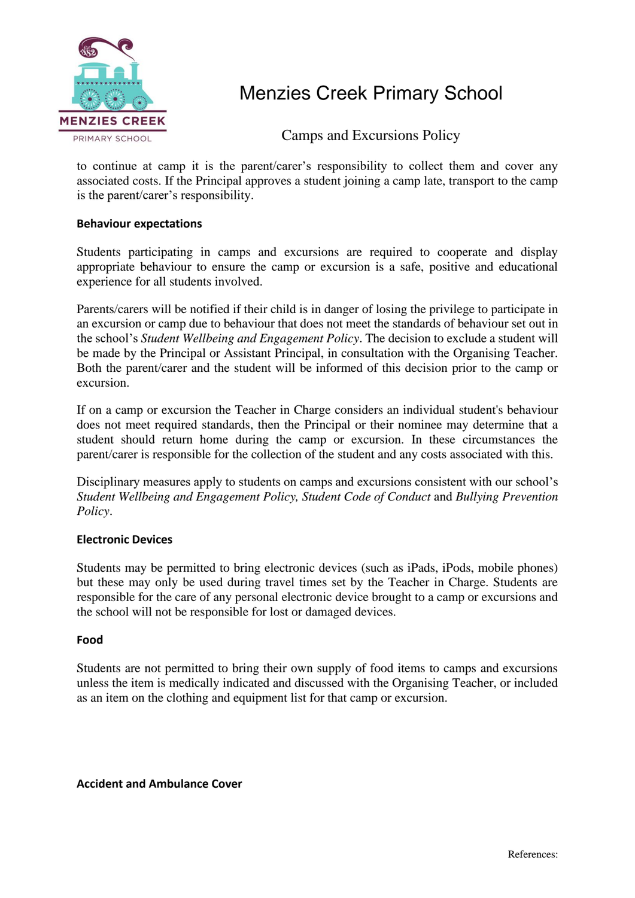

Camps and Excursions Policy

to continue at camp it is the parent/carer's responsibility to collect them and cover any associated costs. If the Principal approves a student joining a camp late, transport to the camp is the parent/carer's responsibility.

#### **Behaviour expectations**

Students participating in camps and excursions are required to cooperate and display appropriate behaviour to ensure the camp or excursion is a safe, positive and educational experience for all students involved.

Parents/carers will be notified if their child is in danger of losing the privilege to participate in an excursion or camp due to behaviour that does not meet the standards of behaviour set out in the school's *Student Wellbeing and Engagement Policy*. The decision to exclude a student will be made by the Principal or Assistant Principal, in consultation with the Organising Teacher. Both the parent/carer and the student will be informed of this decision prior to the camp or excursion.

If on a camp or excursion the Teacher in Charge considers an individual student's behaviour does not meet required standards, then the Principal or their nominee may determine that a student should return home during the camp or excursion. In these circumstances the parent/carer is responsible for the collection of the student and any costs associated with this.

Disciplinary measures apply to students on camps and excursions consistent with our school's *Student Wellbeing and Engagement Policy, Student Code of Conduct* and *Bullying Prevention Policy*.

#### **Electronic Devices**

Students may be permitted to bring electronic devices (such as iPads, iPods, mobile phones) but these may only be used during travel times set by the Teacher in Charge. Students are responsible for the care of any personal electronic device brought to a camp or excursions and the school will not be responsible for lost or damaged devices.

#### **Food**

Students are not permitted to bring their own supply of food items to camps and excursions unless the item is medically indicated and discussed with the Organising Teacher, or included as an item on the clothing and equipment list for that camp or excursion.

**Accident and Ambulance Cover**